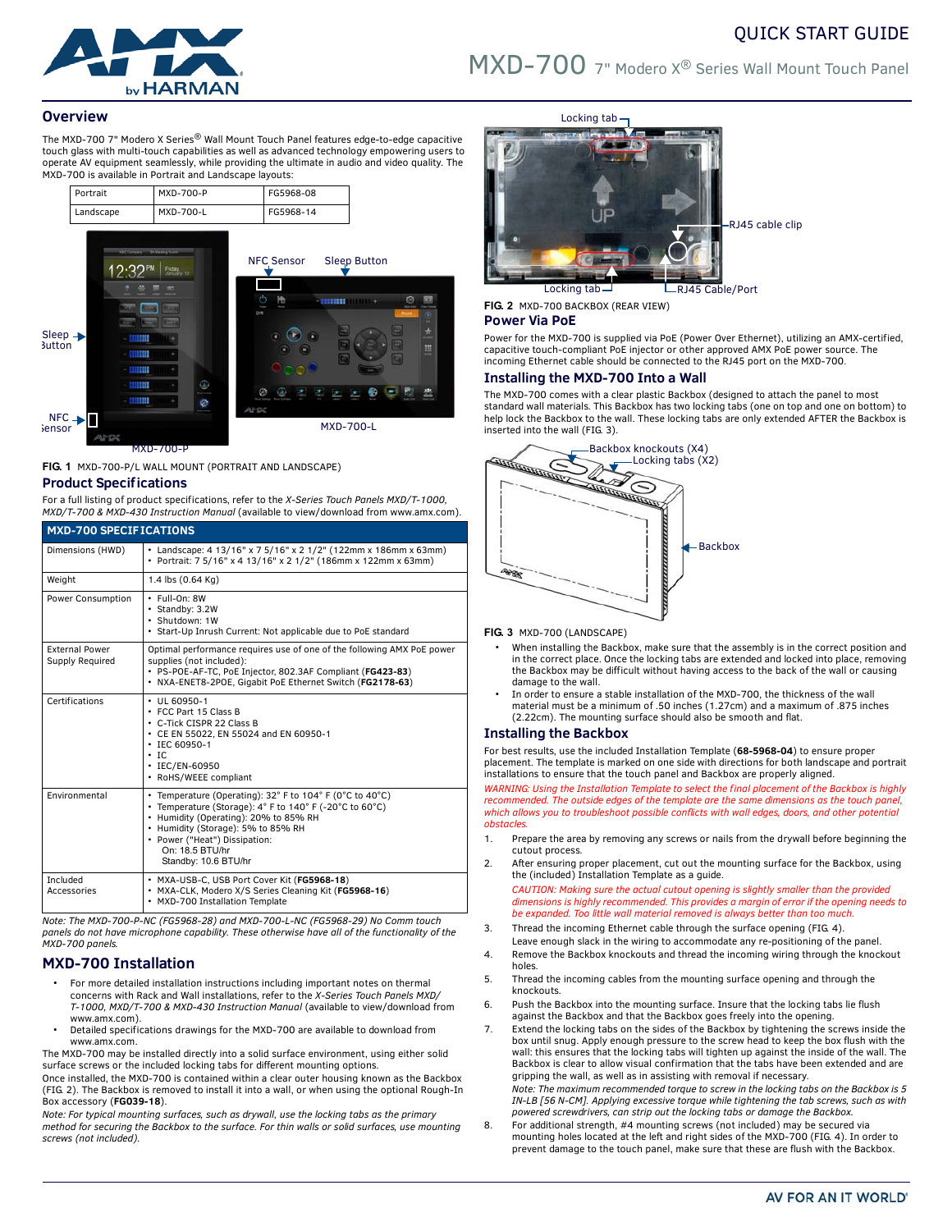# QUICK START GUIDE



# MXD-700 7" Modero X® Series Wall Mount Touch Panel

## **Overview**

The MXD-700 7" Modero X Series® Wall Mount Touch Panel features edge-to-edge capacitive touch glass with multi-touch capabilities as well as advanced technology empowering users to operate AV equipment seamlessly, while providing the ultimate in audio and video quality. The MXD-700 is available in Portrait and Landscape layouts:



**FIG. 1** MXD-700-P/L WALL MOUNT (PORTRAIT AND LANDSCAPE)

#### **Product Specifications**

For a full listing of product specifications, refer to the *X-Series Touch Panels MXD/T-1000, MXD/T-700 & MXD-430 Instruction Manual* (available to view/download from www.amx.com).

| <b>MXD-700 SPECIFICATIONS</b>            |                                                                                                                                                                                                                                                                                |  |
|------------------------------------------|--------------------------------------------------------------------------------------------------------------------------------------------------------------------------------------------------------------------------------------------------------------------------------|--|
| Dimensions (HWD)                         | • Landscape: 4 13/16" x 7 5/16" x 2 1/2" (122mm x 186mm x 63mm)<br>• Portrait: 7 5/16" x 4 13/16" x 2 1/2" (186mm x 122mm x 63mm)                                                                                                                                              |  |
| Weight                                   | 1.4 lbs (0.64 Kg)                                                                                                                                                                                                                                                              |  |
| Power Consumption                        | · Full-On: 8W<br>• Standby: 3.2W<br>· Shutdown: 1W<br>• Start-Up Inrush Current: Not applicable due to PoE standard                                                                                                                                                            |  |
| <b>External Power</b><br>Supply Required | Optimal performance requires use of one of the following AMX PoE power<br>supplies (not included):<br>· PS-POE-AF-TC, PoE Injector, 802.3AF Compliant (FG423-83)<br>· NXA-ENET8-2POE, Gigabit PoE Ethernet Switch (FG2178-63)                                                  |  |
| Certifications                           | $\cdot$ UL 60950-1<br>• FCC Part 15 Class B<br>• C-Tick CISPR 22 Class B<br>• CE EN 55022, EN 55024 and EN 60950-1<br>$\cdot$ IEC 60950-1<br>$\cdot$ IC<br>• IEC/EN-60950<br>• RoHS/WEEE compliant                                                                             |  |
| Environmental                            | • Temperature (Operating): 32° F to 104° F (0°C to 40°C)<br>• Temperature (Storage): 4° F to 140° F (-20°C to 60°C)<br>• Humidity (Operating): 20% to 85% RH<br>• Humidity (Storage): 5% to 85% RH<br>• Power ("Heat") Dissipation:<br>On: 18.5 BTU/hr<br>Standby: 10.6 BTU/hr |  |
| Included<br>Accessories                  | · MXA-USB-C, USB Port Cover Kit (FG5968-18)<br>· MXA-CLK, Modero X/S Series Cleaning Kit (FG5968-16)<br>• MXD-700 Installation Template                                                                                                                                        |  |

*Note: The MXD-700-P-NC (FG5968-28) and MXD-700-L-NC (FG5968-29) No Comm touch panels do not have microphone capability. These otherwise have all of the functionality of the MXD-700 panels.*

## **MXD-700 Installation**

- For more detailed installation instructions including important notes on thermal concerns with Rack and Wall installations, refer to the *X-Series Touch Panels MXD/ T-1000, MXD/T-700 & MXD-430 Instruction Manual* (available to view/download from www.amx.com).
- Detailed specifications drawings for the MXD-700 are available to download from www.amx.com.

The MXD-700 may be installed directly into a solid surface environment, using either solid surface screws or the included locking tabs for different mounting options. Once installed, the MXD-700 is contained within a clear outer housing known as the Backbox

(FIG. 2). The Backbox is removed to install it into a wall, or when using the optional Rough-In Box accessory (**FG039-18**).

*Note: For typical mounting surfaces, such as drywall, use the locking tabs as the primary method for securing the Backbox to the surface. For thin walls or solid surfaces, use mounting screws (not included).*



Locking tab RJ45 Cable/Port

**FIG. 2** MXD-700 BACKBOX (REAR VIEW)

# **Power Via PoE**

Power for the MXD-700 is supplied via PoE (Power Over Ethernet), utilizing an AMX-certified, capacitive touch-compliant PoE injector or other approved AMX PoE power source. The incoming Ethernet cable should be connected to the RJ45 port on the MXD-700.

## **Installing the MXD-700 Into a Wall**

The MXD-700 comes with a clear plastic Backbox (designed to attach the panel to most standard wall materials. This Backbox has two locking tabs (one on top and one on bottom) to help lock the Backbox to the wall. These locking tabs are only extended AFTER the Backbox is inserted into the wall (FIG. 3).



#### **FIG. 3** MXD-700 (LANDSCAPE)

- When installing the Backbox, make sure that the assembly is in the correct position and in the correct place. Once the locking tabs are extended and locked into place, removing the Backbox may be difficult without having access to the back of the wall or causing damage to the wall.
- In order to ensure a stable installation of the MXD-700, the thickness of the wall material must be a minimum of .50 inches (1.27cm) and a maximum of .875 inches (2.22cm). The mounting surface should also be smooth and flat.

## **Installing the Backbox**

For best results, use the included Installation Template (**68-5968-04**) to ensure proper placement. The template is marked on one side with directions for both landscape and portrait installations to ensure that the touch panel and Backbox are properly aligned.

*WARNING: Using the Installation Template to select the final placement of the Backbox is highly recommended. The outside edges of the template are the same dimensions as the touch panel, which allows you to troubleshoot possible conflicts with wall edges, doors, and other potential obstacles.*

- 1. Prepare the area by removing any screws or nails from the drywall before beginning the cutout process.
- 2. After ensuring proper placement, cut out the mounting surface for the Backbox, using the (included) Installation Template as a guide.

*CAUTION: Making sure the actual cutout opening is slightly smaller than the provided dimensions is highly recommended. This provides a margin of error if the opening needs to be expanded. Too little wall material removed is always better than too much.*

- 3. Thread the incoming Ethernet cable through the surface opening (FIG. 4). Leave enough slack in the wiring to accommodate any re-positioning of the panel.
- 4. Remove the Backbox knockouts and thread the incoming wiring through the knockout holes.
- 5. Thread the incoming cables from the mounting surface opening and through the knockouts.
- 6. Push the Backbox into the mounting surface. Insure that the locking tabs lie flush against the Backbox and that the Backbox goes freely into the opening.
- 7. Extend the locking tabs on the sides of the Backbox by tightening the screws inside the box until snug. Apply enough pressure to the screw head to keep the box flush with the wall: this ensures that the locking tabs will tighten up against the inside of the wall. The Backbox is clear to allow visual confirmation that the tabs have been extended and are gripping the wall, as well as in assisting with removal if necessary. *Note: The maximum recommended torque to screw in the locking tabs on the Backbox is 5 IN-LB [56 N-CM]. Applying excessive torque while tightening the tab screws, such as with*

*powered screwdrivers, can strip out the locking tabs or damage the Backbox.* 8. For additional strength, #4 mounting screws (not included) may be secured via

mounting holes located at the left and right sides of the MXD-700 (FIG. 4). In order to prevent damage to the touch panel, make sure that these are flush with the Backbox.